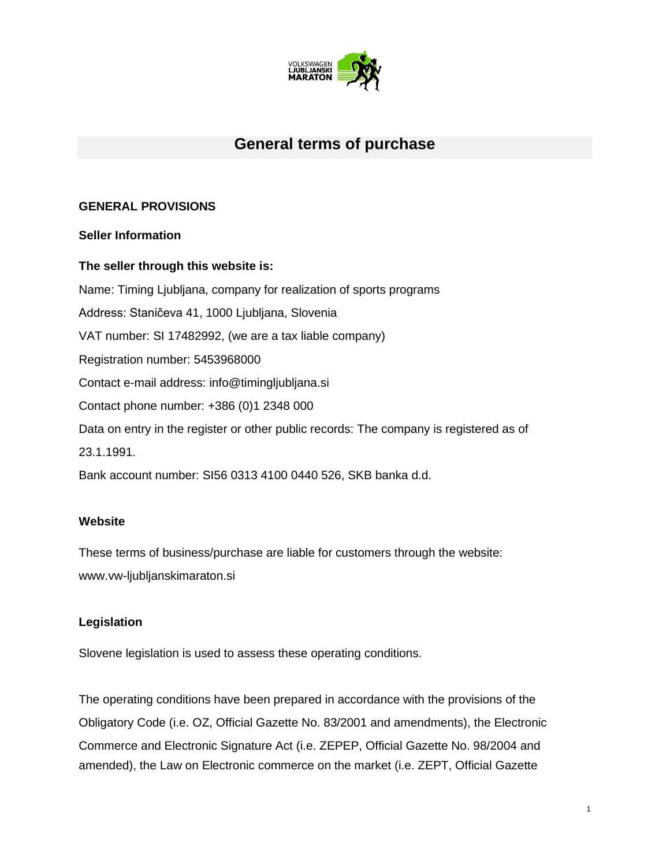

# **General terms of purchase**

## **GENERAL PROVISIONS**

#### **Seller Information**

## **The seller through this website is:**

Name: Timing Ljubljana, company for realization of sports programs Address: Staničeva 41, 1000 Ljubljana, Slovenia VAT number: SI 17482992, (we are a tax liable company) Registration number: 5453968000 Contact e-mail address: info@timingljubljana.si Contact phone number: +386 (0)1 2348 000 Data on entry in the register or other public records: The company is registered as of 23.1.1991. Bank account number: SI56 0313 4100 0440 526, SKB banka d.d.

#### **Website**

These terms of business/purchase are liable for customers through the website: www.vw-ljubljanskimaraton.si

#### **Legislation**

Slovene legislation is used to assess these operating conditions.

The operating conditions have been prepared in accordance with the provisions of the Obligatory Code (i.e. OZ, Official Gazette No. 83/2001 and amendments), the Electronic Commerce and Electronic Signature Act (i.e. ZEPEP, Official Gazette No. 98/2004 and amended), the Law on Electronic commerce on the market (i.e. ZEPT, Official Gazette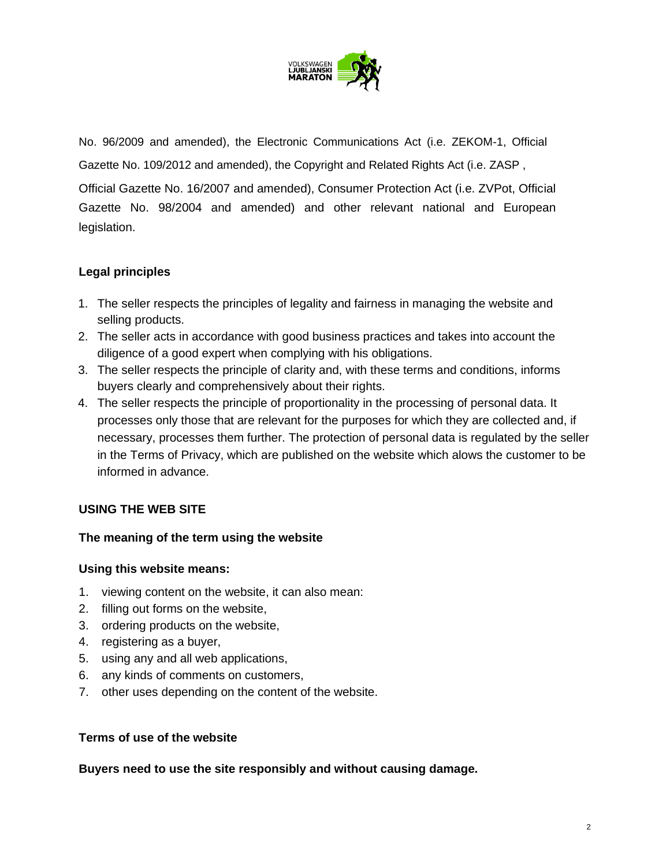

No. 96/2009 and amended), the Electronic Communications Act (i.e. ZEKOM-1, Official Gazette No. 109/2012 and amended), the Copyright and Related Rights Act (i.e. ZASP , Official Gazette No. 16/2007 and amended), Consumer Protection Act (i.e. ZVPot, Official Gazette No. 98/2004 and amended) and other relevant national and European legislation.

## **Legal principles**

- 1. The seller respects the principles of legality and fairness in managing the website and selling products.
- 2. The seller acts in accordance with good business practices and takes into account the diligence of a good expert when complying with his obligations.
- 3. The seller respects the principle of clarity and, with these terms and conditions, informs buyers clearly and comprehensively about their rights.
- 4. The seller respects the principle of proportionality in the processing of personal data. It processes only those that are relevant for the purposes for which they are collected and, if necessary, processes them further. The protection of personal data is regulated by the seller in the Terms of Privacy, which are published on the website which alows the customer to be informed in advance.

## **USING THE WEB SITE**

## **The meaning of the term using the website**

#### **Using this website means:**

- 1. viewing content on the website, it can also mean:
- 2. filling out forms on the website,
- 3. ordering products on the website,
- 4. registering as a buyer,
- 5. using any and all web applications,
- 6. any kinds of comments on customers,
- 7. other uses depending on the content of the website.

#### **Terms of use of the website**

#### **Buyers need to use the site responsibly and without causing damage.**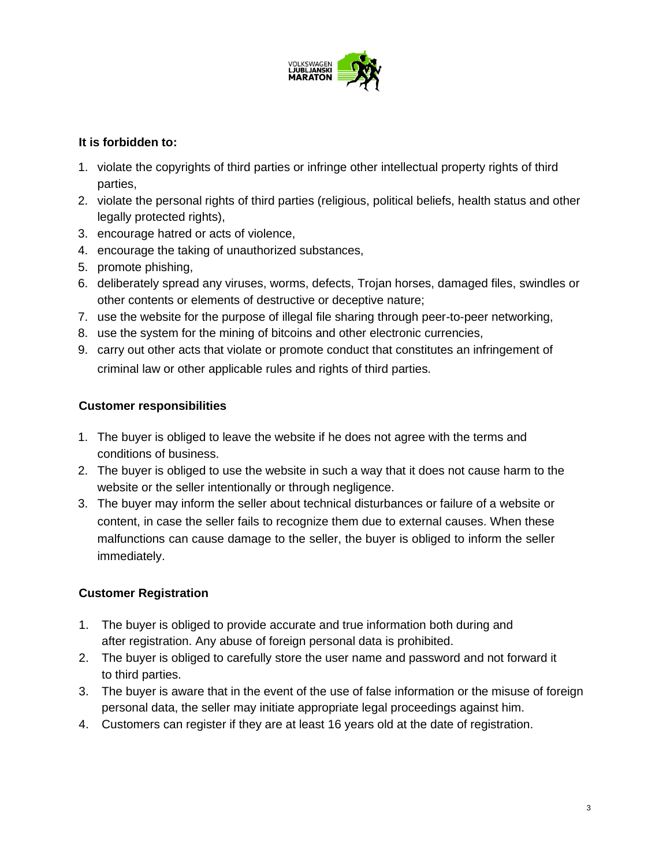

## **It is forbidden to:**

- 1. violate the copyrights of third parties or infringe other intellectual property rights of third parties,
- 2. violate the personal rights of third parties (religious, political beliefs, health status and other legally protected rights),
- 3. encourage hatred or acts of violence,
- 4. encourage the taking of unauthorized substances,
- 5. promote phishing,
- 6. deliberately spread any viruses, worms, defects, Trojan horses, damaged files, swindles or other contents or elements of destructive or deceptive nature;
- 7. use the website for the purpose of illegal file sharing through peer-to-peer networking,
- 8. use the system for the mining of bitcoins and other electronic currencies,
- 9. carry out other acts that violate or promote conduct that constitutes an infringement of criminal law or other applicable rules and rights of third parties.

## **Customer responsibilities**

- 1. The buyer is obliged to leave the website if he does not agree with the terms and conditions of business.
- 2. The buyer is obliged to use the website in such a way that it does not cause harm to the website or the seller intentionally or through negligence.
- 3. The buyer may inform the seller about technical disturbances or failure of a website or content, in case the seller fails to recognize them due to external causes. When these malfunctions can cause damage to the seller, the buyer is obliged to inform the seller immediately.

## **Customer Registration**

- 1. The buyer is obliged to provide accurate and true information both during and after registration. Any abuse of foreign personal data is prohibited.
- 2. The buyer is obliged to carefully store the user name and password and not forward it to third parties.
- 3. The buyer is aware that in the event of the use of false information or the misuse of foreign personal data, the seller may initiate appropriate legal proceedings against him.
- 4. Customers can register if they are at least 16 years old at the date of registration.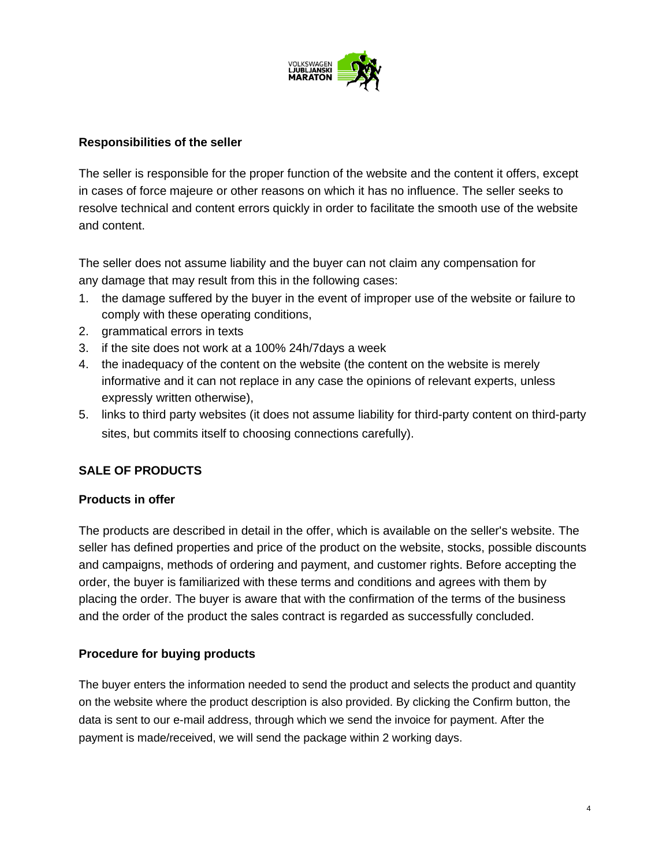

## **Responsibilities of the seller**

The seller is responsible for the proper function of the website and the content it offers, except in cases of force majeure or other reasons on which it has no influence. The seller seeks to resolve technical and content errors quickly in order to facilitate the smooth use of the website and content.

The seller does not assume liability and the buyer can not claim any compensation for any damage that may result from this in the following cases:

- 1. the damage suffered by the buyer in the event of improper use of the website or failure to comply with these operating conditions,
- 2. grammatical errors in texts
- 3. if the site does not work at a 100% 24h/7days a week
- 4. the inadequacy of the content on the website (the content on the website is merely informative and it can not replace in any case the opinions of relevant experts, unless expressly written otherwise),
- 5. links to third party websites (it does not assume liability for third-party content on third-party sites, but commits itself to choosing connections carefully).

## **SALE OF PRODUCTS**

#### **Products in offer**

The products are described in detail in the offer, which is available on the seller's website. The seller has defined properties and price of the product on the website, stocks, possible discounts and campaigns, methods of ordering and payment, and customer rights. Before accepting the order, the buyer is familiarized with these terms and conditions and agrees with them by placing the order. The buyer is aware that with the confirmation of the terms of the business and the order of the product the sales contract is regarded as successfully concluded.

#### **Procedure for buying products**

The buyer enters the information needed to send the product and selects the product and quantity on the website where the product description is also provided. By clicking the Confirm button, the data is sent to our e-mail address, through which we send the invoice for payment. After the payment is made/received, we will send the package within 2 working days.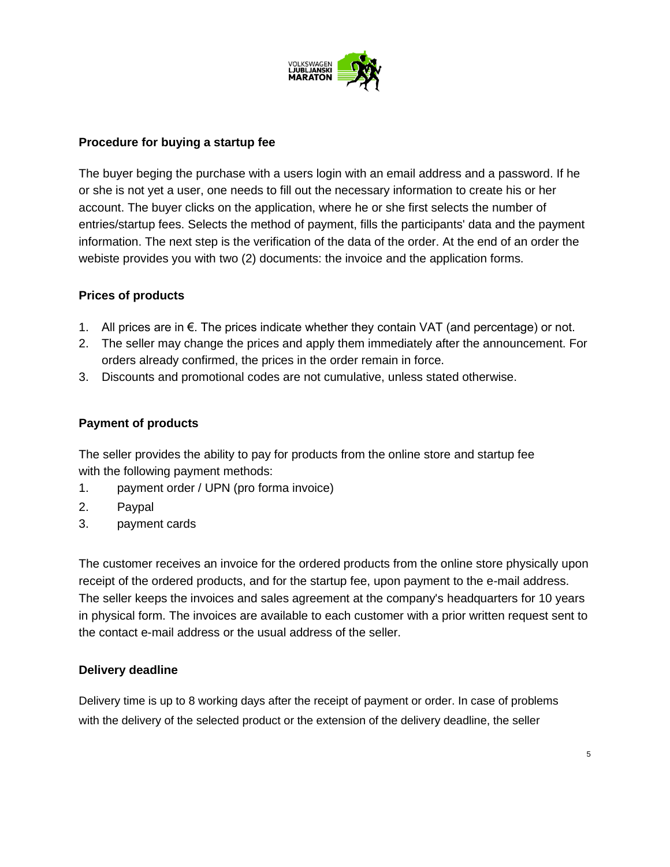

#### **Procedure for buying a startup fee**

The buyer beging the purchase with a users login with an email address and a password. If he or she is not yet a user, one needs to fill out the necessary information to create his or her account. The buyer clicks on the application, where he or she first selects the number of entries/startup fees. Selects the method of payment, fills the participants' data and the payment information. The next step is the verification of the data of the order. At the end of an order the webiste provides you with two (2) documents: the invoice and the application forms.

## **Prices of products**

- 1. All prices are in  $€$ . The prices indicate whether they contain VAT (and percentage) or not.
- 2. The seller may change the prices and apply them immediately after the announcement. For orders already confirmed, the prices in the order remain in force.
- 3. Discounts and promotional codes are not cumulative, unless stated otherwise.

## **Payment of products**

The seller provides the ability to pay for products from the online store and startup fee with the following payment methods:

- 1. payment order / UPN (pro forma invoice)
- 2. Paypal
- 3. payment cards

The customer receives an invoice for the ordered products from the online store physically upon receipt of the ordered products, and for the startup fee, upon payment to the e-mail address. The seller keeps the invoices and sales agreement at the company's headquarters for 10 years in physical form. The invoices are available to each customer with a prior written request sent to the contact e-mail address or the usual address of the seller.

#### **Delivery deadline**

Delivery time is up to 8 working days after the receipt of payment or order. In case of problems with the delivery of the selected product or the extension of the delivery deadline, the seller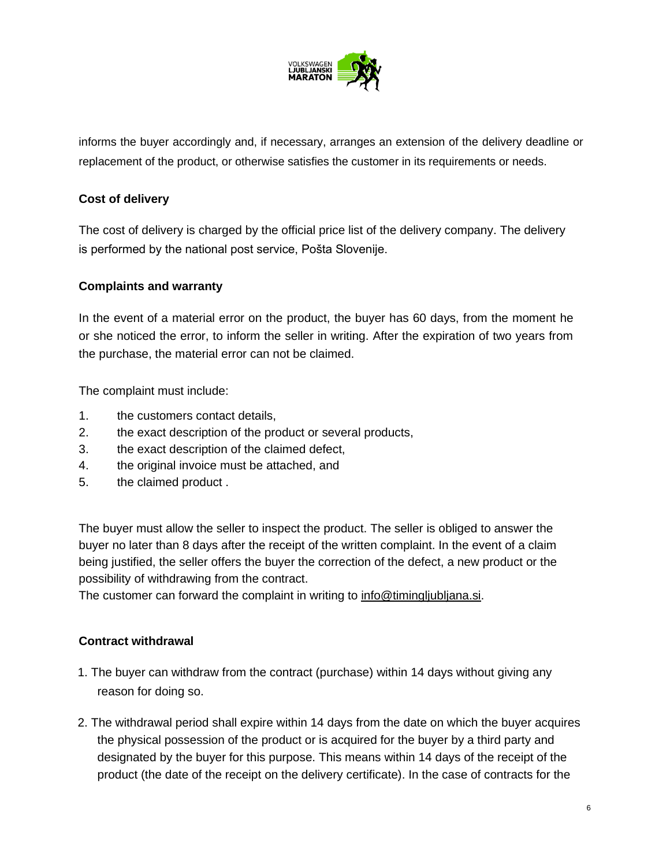

informs the buyer accordingly and, if necessary, arranges an extension of the delivery deadline or replacement of the product, or otherwise satisfies the customer in its requirements or needs.

## **Cost of delivery**

The cost of delivery is charged by the official price list of the delivery company. The delivery is performed by the national post service, Pošta Slovenije.

## **Complaints and warranty**

In the event of a material error on the product, the buyer has 60 days, from the moment he or she noticed the error, to inform the seller in writing. After the expiration of two years from the purchase, the material error can not be claimed.

The complaint must include:

- 1. the customers contact details,
- 2. the exact description of the product or several products,
- 3. the exact description of the claimed defect,
- 4. the original invoice must be attached, and
- 5. the claimed product .

The buyer must allow the seller to inspect the product. The seller is obliged to answer the buyer no later than 8 days after the receipt of the written complaint. In the event of a claim being justified, the seller offers the buyer the correction of the defect, a new product or the possibility of withdrawing from the contract.

The customer can forward the complaint in writing to info@timingljubljana.si.

#### **Contract withdrawal**

- 1. The buyer can withdraw from the contract (purchase) within 14 days without giving any reason for doing so.
- 2. The withdrawal period shall expire within 14 days from the date on which the buyer acquires the physical possession of the product or is acquired for the buyer by a third party and designated by the buyer for this purpose. This means within 14 days of the receipt of the product (the date of the receipt on the delivery certificate). In the case of contracts for the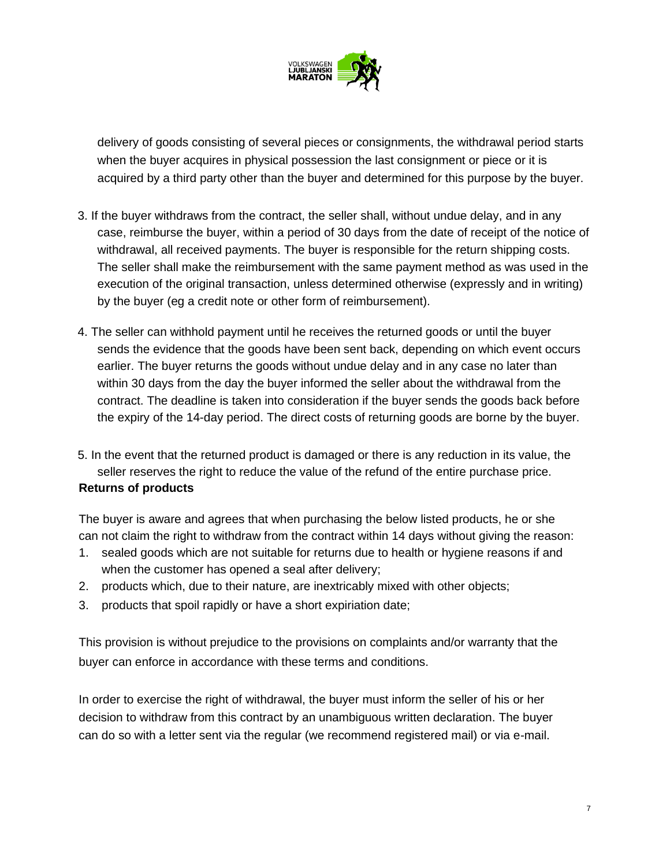

delivery of goods consisting of several pieces or consignments, the withdrawal period starts when the buyer acquires in physical possession the last consignment or piece or it is acquired by a third party other than the buyer and determined for this purpose by the buyer.

- 3. If the buyer withdraws from the contract, the seller shall, without undue delay, and in any case, reimburse the buyer, within a period of 30 days from the date of receipt of the notice of withdrawal, all received payments. The buyer is responsible for the return shipping costs. The seller shall make the reimbursement with the same payment method as was used in the execution of the original transaction, unless determined otherwise (expressly and in writing) by the buyer (eg a credit note or other form of reimbursement).
- 4. The seller can withhold payment until he receives the returned goods or until the buyer sends the evidence that the goods have been sent back, depending on which event occurs earlier. The buyer returns the goods without undue delay and in any case no later than within 30 days from the day the buyer informed the seller about the withdrawal from the contract. The deadline is taken into consideration if the buyer sends the goods back before the expiry of the 14-day period. The direct costs of returning goods are borne by the buyer.
- 5. In the event that the returned product is damaged or there is any reduction in its value, the seller reserves the right to reduce the value of the refund of the entire purchase price.

#### **Returns of products**

The buyer is aware and agrees that when purchasing the below listed products, he or she can not claim the right to withdraw from the contract within 14 days without giving the reason:

- 1. sealed goods which are not suitable for returns due to health or hygiene reasons if and when the customer has opened a seal after delivery;
- 2. products which, due to their nature, are inextricably mixed with other objects;
- 3. products that spoil rapidly or have a short expiriation date;

This provision is without prejudice to the provisions on complaints and/or warranty that the buyer can enforce in accordance with these terms and conditions.

In order to exercise the right of withdrawal, the buyer must inform the seller of his or her decision to withdraw from this contract by an unambiguous written declaration. The buyer can do so with a letter sent via the regular (we recommend registered mail) or via e-mail.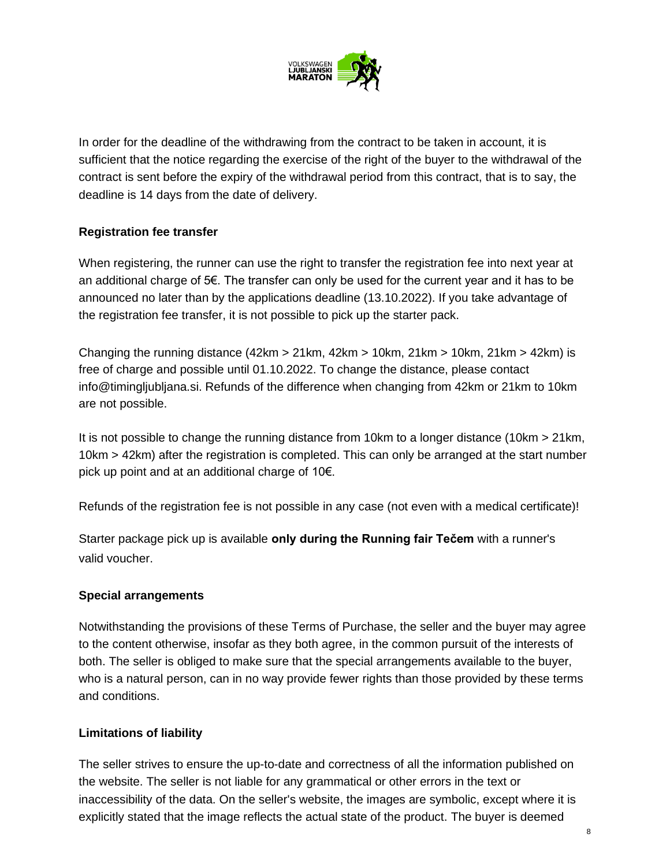

In order for the deadline of the withdrawing from the contract to be taken in account, it is sufficient that the notice regarding the exercise of the right of the buyer to the withdrawal of the contract is sent before the expiry of the withdrawal period from this contract, that is to say, the deadline is 14 days from the date of delivery.

## **Registration fee transfer**

When registering, the runner can use the right to transfer the registration fee into next year at an additional charge of 5€. The transfer can only be used for the current year and it has to be announced no later than by the applications deadline (13.10.2022). If you take advantage of the registration fee transfer, it is not possible to pick up the starter pack.

Changing the running distance (42km > 21km, 42km > 10km, 21km > 10km, 21km > 42km) is free of charge and possible until 01.10.2022. To change the distance, please contact info@timingljubljana.si. Refunds of the difference when changing from 42km or 21km to 10km are not possible.

It is not possible to change the running distance from 10km to a longer distance (10km > 21km, 10km > 42km) after the registration is completed. This can only be arranged at the start number pick up point and at an additional charge of 10€.

Refunds of the registration fee is not possible in any case (not even with a medical certificate)!

Starter package pick up is available **only during the Running fair Tečem** with a runner's valid voucher.

#### **Special arrangements**

Notwithstanding the provisions of these Terms of Purchase, the seller and the buyer may agree to the content otherwise, insofar as they both agree, in the common pursuit of the interests of both. The seller is obliged to make sure that the special arrangements available to the buyer, who is a natural person, can in no way provide fewer rights than those provided by these terms and conditions.

#### **Limitations of liability**

The seller strives to ensure the up-to-date and correctness of all the information published on the website. The seller is not liable for any grammatical or other errors in the text or inaccessibility of the data. On the seller's website, the images are symbolic, except where it is explicitly stated that the image reflects the actual state of the product. The buyer is deemed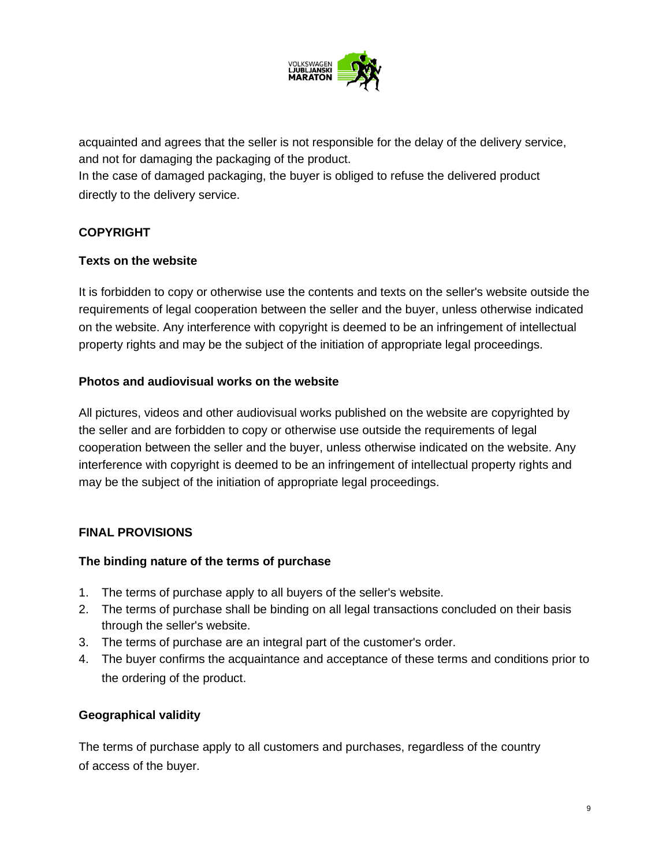

acquainted and agrees that the seller is not responsible for the delay of the delivery service, and not for damaging the packaging of the product.

In the case of damaged packaging, the buyer is obliged to refuse the delivered product directly to the delivery service.

## **COPYRIGHT**

## **Texts on the website**

It is forbidden to copy or otherwise use the contents and texts on the seller's website outside the requirements of legal cooperation between the seller and the buyer, unless otherwise indicated on the website. Any interference with copyright is deemed to be an infringement of intellectual property rights and may be the subject of the initiation of appropriate legal proceedings.

## **Photos and audiovisual works on the website**

All pictures, videos and other audiovisual works published on the website are copyrighted by the seller and are forbidden to copy or otherwise use outside the requirements of legal cooperation between the seller and the buyer, unless otherwise indicated on the website. Any interference with copyright is deemed to be an infringement of intellectual property rights and may be the subject of the initiation of appropriate legal proceedings.

## **FINAL PROVISIONS**

#### **The binding nature of the terms of purchase**

- 1. The terms of purchase apply to all buyers of the seller's website.
- 2. The terms of purchase shall be binding on all legal transactions concluded on their basis through the seller's website.
- 3. The terms of purchase are an integral part of the customer's order.
- 4. The buyer confirms the acquaintance and acceptance of these terms and conditions prior to the ordering of the product.

#### **Geographical validity**

The terms of purchase apply to all customers and purchases, regardless of the country of access of the buyer.